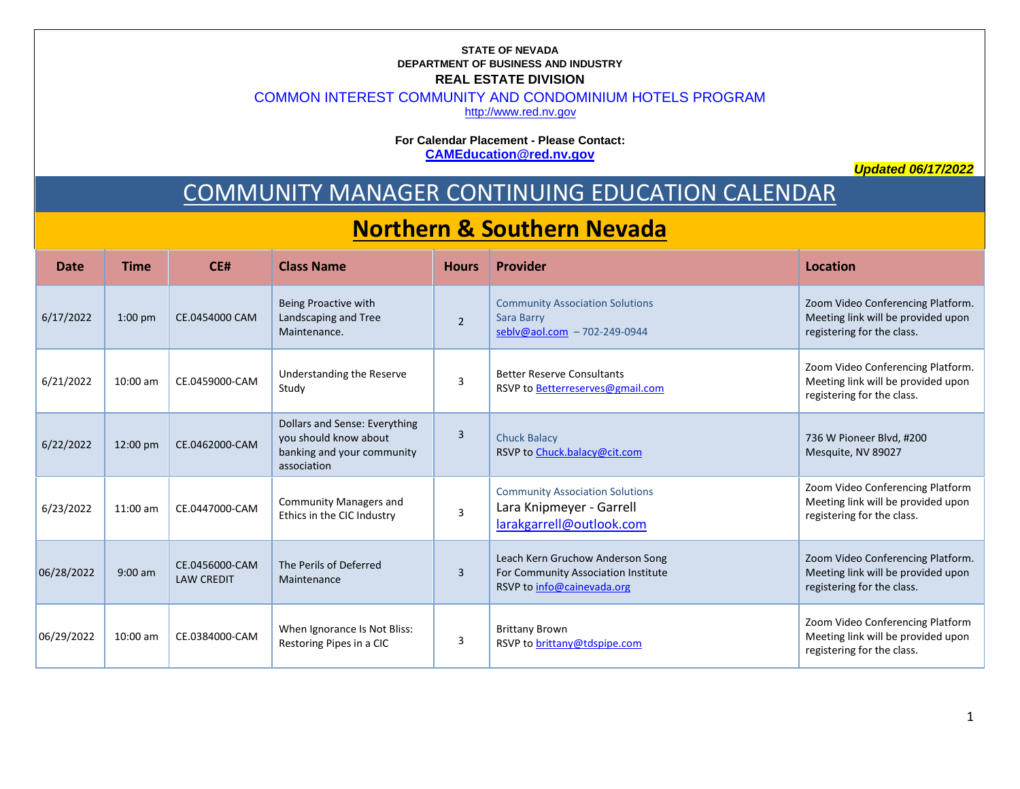## **STATE OF NEVADA DEPARTMENT OF BUSINESS AND INDUSTRY REAL ESTATE DIVISION**

COMMON INTEREST COMMUNITY AND CONDOMINIUM HOTELS PROGRAM

[http://www.red.nv.gov](http://www.red.nv.gov/)

**For Calendar Placement - Please Contact: [CAMEducation@red.nv.gov](mailto:CAMEducation@red.nv.gov)**

*Updated 06/17/2022*

## COMMUNITY MANAGER CONTINUING EDUCATION CALENDAR

## **Northern & Southern Nevada**

| <b>Date</b> | <b>Time</b>        | CE#                                 | <b>Class Name</b>                                                                                   | <b>Hours</b>   | Provider                                                                                              | Location                                                                                              |
|-------------|--------------------|-------------------------------------|-----------------------------------------------------------------------------------------------------|----------------|-------------------------------------------------------------------------------------------------------|-------------------------------------------------------------------------------------------------------|
| 6/17/2022   | $1:00$ pm          | CE.0454000 CAM                      | Being Proactive with<br>Landscaping and Tree<br>Maintenance.                                        | $\overline{2}$ | <b>Community Association Solutions</b><br>Sara Barry<br>sebly@aol.com - 702-249-0944                  | Zoom Video Conferencing Platform.<br>Meeting link will be provided upon<br>registering for the class. |
| 6/21/2022   | $10:00$ am         | CE.0459000-CAM                      | Understanding the Reserve<br>Study                                                                  | $\overline{3}$ | <b>Better Reserve Consultants</b><br>RSVP to Betterreserves@gmail.com                                 | Zoom Video Conferencing Platform.<br>Meeting link will be provided upon<br>registering for the class. |
| 6/22/2022   | $12:00 \text{ pm}$ | CE.0462000-CAM                      | Dollars and Sense: Everything<br>you should know about<br>banking and your community<br>association | 3              | <b>Chuck Balacy</b><br>RSVP to Chuck.balacy@cit.com                                                   | 736 W Pioneer Blvd, #200<br>Mesquite, NV 89027                                                        |
| 6/23/2022   | $11:00$ am         | CE.0447000-CAM                      | <b>Community Managers and</b><br>Ethics in the CIC Industry                                         | 3              | <b>Community Association Solutions</b><br>Lara Knipmeyer - Garrell<br>larakgarrell@outlook.com        | Zoom Video Conferencing Platform<br>Meeting link will be provided upon<br>registering for the class.  |
| 06/28/2022  | $9:00$ am          | CE.0456000-CAM<br><b>LAW CREDIT</b> | The Perils of Deferred<br>Maintenance                                                               | 3              | Leach Kern Gruchow Anderson Song<br>For Community Association Institute<br>RSVP to info@cainevada.org | Zoom Video Conferencing Platform.<br>Meeting link will be provided upon<br>registering for the class. |
| 06/29/2022  | $10:00$ am         | CE.0384000-CAM                      | When Ignorance Is Not Bliss:<br>Restoring Pipes in a CIC                                            | 3              | <b>Brittany Brown</b><br>RSVP to brittany@tdspipe.com                                                 | Zoom Video Conferencing Platform<br>Meeting link will be provided upon<br>registering for the class.  |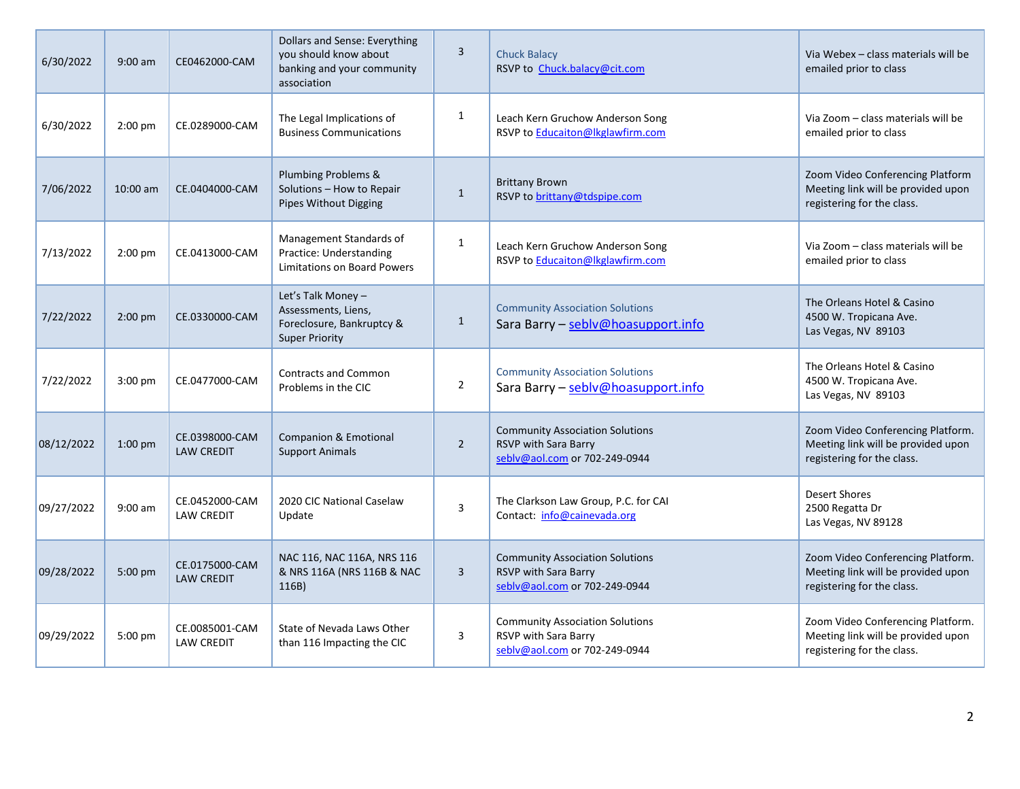| 6/30/2022  | $9:00$ am | CE0462000-CAM                       | Dollars and Sense: Everything<br>you should know about<br>banking and your community<br>association | 3              | <b>Chuck Balacy</b><br>RSVP to Chuck.balacy@cit.com                                             | Via Webex - class materials will be<br>emailed prior to class                                         |
|------------|-----------|-------------------------------------|-----------------------------------------------------------------------------------------------------|----------------|-------------------------------------------------------------------------------------------------|-------------------------------------------------------------------------------------------------------|
| 6/30/2022  | $2:00$ pm | CE.0289000-CAM                      | The Legal Implications of<br><b>Business Communications</b>                                         | $\mathbf{1}$   | Leach Kern Gruchow Anderson Song<br>RSVP to Educaiton@lkglawfirm.com                            | Via Zoom - class materials will be<br>emailed prior to class                                          |
| 7/06/2022  | 10:00 am  | CE.0404000-CAM                      | Plumbing Problems &<br>Solutions - How to Repair<br><b>Pipes Without Digging</b>                    | $\mathbf{1}$   | <b>Brittany Brown</b><br>RSVP to brittany@tdspipe.com                                           | Zoom Video Conferencing Platform<br>Meeting link will be provided upon<br>registering for the class.  |
| 7/13/2022  | 2:00 pm   | CE.0413000-CAM                      | Management Standards of<br>Practice: Understanding<br><b>Limitations on Board Powers</b>            | $\mathbf{1}$   | Leach Kern Gruchow Anderson Song<br>RSVP to Educaiton@lkglawfirm.com                            | Via Zoom - class materials will be<br>emailed prior to class                                          |
| 7/22/2022  | $2:00$ pm | CE.0330000-CAM                      | Let's Talk Money -<br>Assessments, Liens,<br>Foreclosure, Bankruptcy &<br><b>Super Priority</b>     | $\mathbf{1}$   | <b>Community Association Solutions</b><br>Sara Barry - seblv@hoasupport.info                    | The Orleans Hotel & Casino<br>4500 W. Tropicana Ave.<br>Las Vegas, NV 89103                           |
| 7/22/2022  | $3:00$ pm | CE.0477000-CAM                      | <b>Contracts and Common</b><br>Problems in the CIC                                                  | $\overline{2}$ | <b>Community Association Solutions</b><br>Sara Barry - seblv@hoasupport.info                    | The Orleans Hotel & Casino<br>4500 W. Tropicana Ave.<br>Las Vegas, NV 89103                           |
| 08/12/2022 | $1:00$ pm | CE.0398000-CAM<br><b>LAW CREDIT</b> | <b>Companion &amp; Emotional</b><br><b>Support Animals</b>                                          | $\overline{2}$ | <b>Community Association Solutions</b><br>RSVP with Sara Barry<br>seblv@aol.com or 702-249-0944 | Zoom Video Conferencing Platform.<br>Meeting link will be provided upon<br>registering for the class. |
| 09/27/2022 | $9:00$ am | CE.0452000-CAM<br><b>LAW CREDIT</b> | 2020 CIC National Caselaw<br>Update                                                                 | 3              | The Clarkson Law Group, P.C. for CAI<br>Contact: info@cainevada.org                             | Desert Shores<br>2500 Regatta Dr<br>Las Vegas, NV 89128                                               |
| 09/28/2022 | 5:00 pm   | CE.0175000-CAM<br><b>LAW CREDIT</b> | NAC 116, NAC 116A, NRS 116<br>& NRS 116A (NRS 116B & NAC<br>116B)                                   | $\overline{3}$ | <b>Community Association Solutions</b><br>RSVP with Sara Barry<br>seblv@aol.com or 702-249-0944 | Zoom Video Conferencing Platform.<br>Meeting link will be provided upon<br>registering for the class. |
| 09/29/2022 | 5:00 pm   | CE.0085001-CAM<br><b>LAW CREDIT</b> | State of Nevada Laws Other<br>than 116 Impacting the CIC                                            | 3              | <b>Community Association Solutions</b><br>RSVP with Sara Barry<br>seblv@aol.com or 702-249-0944 | Zoom Video Conferencing Platform.<br>Meeting link will be provided upon<br>registering for the class. |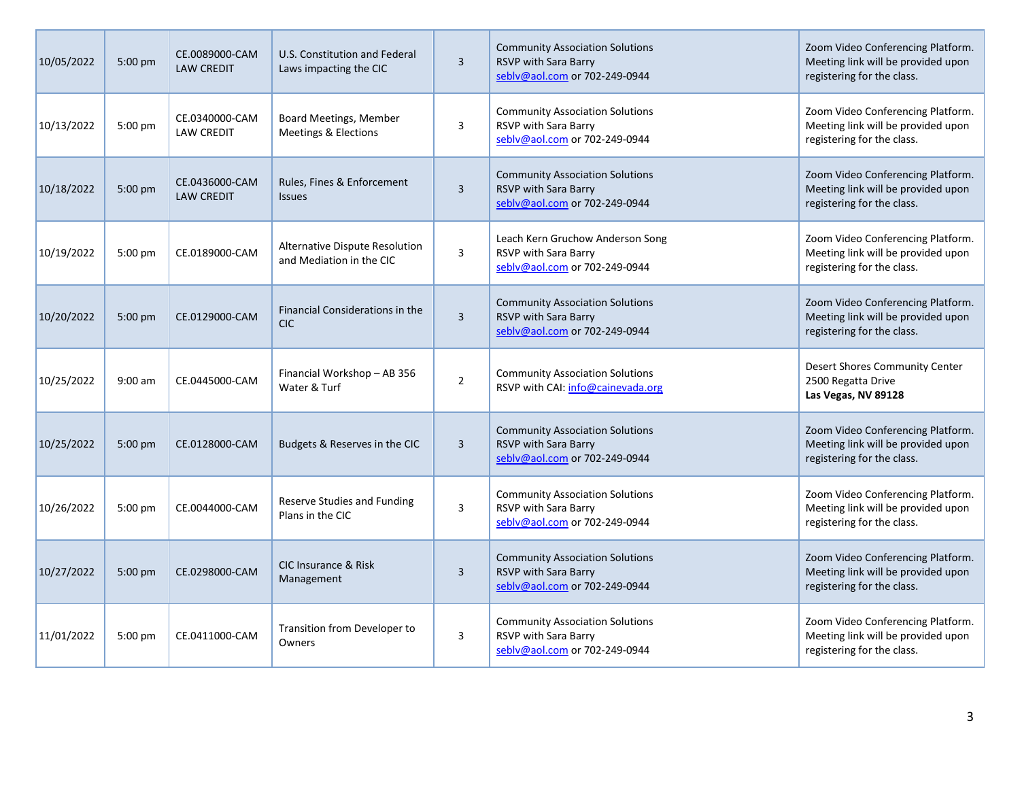| 10/05/2022 | 5:00 pm   | CE.0089000-CAM<br><b>LAW CREDIT</b> | U.S. Constitution and Federal<br>Laws impacting the CIC    | 3              | <b>Community Association Solutions</b><br>RSVP with Sara Barry<br>seblv@aol.com or 702-249-0944 | Zoom Video Conferencing Platform.<br>Meeting link will be provided upon<br>registering for the class. |
|------------|-----------|-------------------------------------|------------------------------------------------------------|----------------|-------------------------------------------------------------------------------------------------|-------------------------------------------------------------------------------------------------------|
| 10/13/2022 | 5:00 pm   | CE.0340000-CAM<br><b>LAW CREDIT</b> | Board Meetings, Member<br>Meetings & Elections             | 3              | <b>Community Association Solutions</b><br>RSVP with Sara Barry<br>seblv@aol.com or 702-249-0944 | Zoom Video Conferencing Platform.<br>Meeting link will be provided upon<br>registering for the class. |
| 10/18/2022 | 5:00 pm   | CE.0436000-CAM<br><b>LAW CREDIT</b> | Rules, Fines & Enforcement<br><b>Issues</b>                | 3              | <b>Community Association Solutions</b><br>RSVP with Sara Barry<br>seblv@aol.com or 702-249-0944 | Zoom Video Conferencing Platform.<br>Meeting link will be provided upon<br>registering for the class. |
| 10/19/2022 | $5:00$ pm | CE.0189000-CAM                      | Alternative Dispute Resolution<br>and Mediation in the CIC | 3              | Leach Kern Gruchow Anderson Song<br>RSVP with Sara Barry<br>seblv@aol.com or 702-249-0944       | Zoom Video Conferencing Platform.<br>Meeting link will be provided upon<br>registering for the class. |
| 10/20/2022 | 5:00 pm   | CE.0129000-CAM                      | Financial Considerations in the<br><b>CIC</b>              | 3              | <b>Community Association Solutions</b><br>RSVP with Sara Barry<br>seblv@aol.com or 702-249-0944 | Zoom Video Conferencing Platform.<br>Meeting link will be provided upon<br>registering for the class. |
| 10/25/2022 | $9:00$ am | CE.0445000-CAM                      | Financial Workshop - AB 356<br>Water & Turf                | $\overline{2}$ | <b>Community Association Solutions</b><br>RSVP with CAI: info@cainevada.org                     | <b>Desert Shores Community Center</b><br>2500 Regatta Drive<br>Las Vegas, NV 89128                    |
| 10/25/2022 | 5:00 pm   | CE.0128000-CAM                      | Budgets & Reserves in the CIC                              | 3              | <b>Community Association Solutions</b><br>RSVP with Sara Barry<br>seblv@aol.com or 702-249-0944 | Zoom Video Conferencing Platform.<br>Meeting link will be provided upon<br>registering for the class. |
| 10/26/2022 | 5:00 pm   | CE.0044000-CAM                      | <b>Reserve Studies and Funding</b><br>Plans in the CIC     | 3              | <b>Community Association Solutions</b><br>RSVP with Sara Barry<br>seblv@aol.com or 702-249-0944 | Zoom Video Conferencing Platform.<br>Meeting link will be provided upon<br>registering for the class. |
| 10/27/2022 | 5:00 pm   | CE.0298000-CAM                      | CIC Insurance & Risk<br>Management                         | 3              | <b>Community Association Solutions</b><br>RSVP with Sara Barry<br>seblv@aol.com or 702-249-0944 | Zoom Video Conferencing Platform.<br>Meeting link will be provided upon<br>registering for the class. |
| 11/01/2022 | 5:00 pm   | CE.0411000-CAM                      | Transition from Developer to<br>Owners                     | 3              | <b>Community Association Solutions</b><br>RSVP with Sara Barry<br>seblv@aol.com or 702-249-0944 | Zoom Video Conferencing Platform.<br>Meeting link will be provided upon<br>registering for the class. |